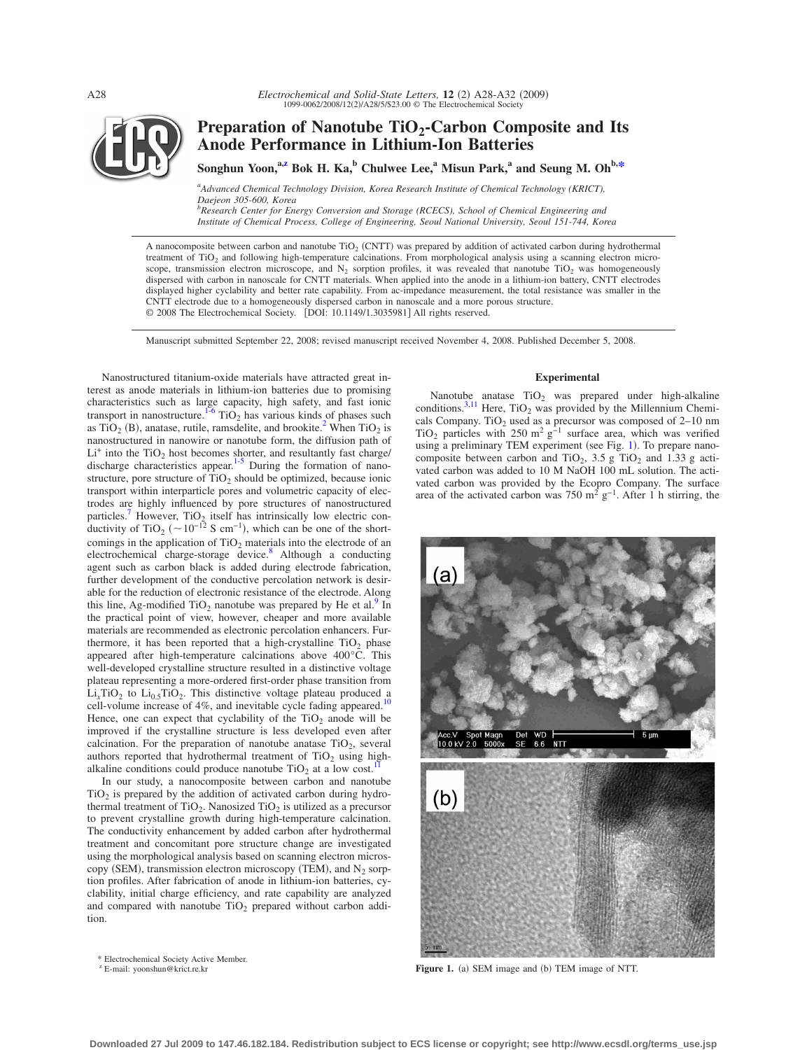

# Preparation of Nanotube TiO<sub>2</sub>-Carbon Composite and Its **Anode Performance in Lithium-Ion Batteries**

Songhun Yoon,<sup>a[,z](#page-0-0)</sup> Bok H. Ka,<sup>b</sup> Chulwee Lee,<sup>a</sup> Misun Park,<sup>a</sup> and Seung M. Oh<sup>b[,\\*](#page-0-1)</sup>

*a Advanced Chemical Technology Division, Korea Research Institute of Chemical Technology (KRICT), Daejeon 305-600, Korea*

*b Research Center for Energy Conversion and Storage (RCECS), School of Chemical Engineering and Institute of Chemical Process, College of Engineering, Seoul National University, Seoul 151-744, Korea*

A nanocomposite between carbon and nanotube  $TiO<sub>2</sub>$  (CNTT) was prepared by addition of activated carbon during hydrothermal treatment of TiO<sub>2</sub> and following high-temperature calcinations. From morphological analysis using a scanning electron microscope, transmission electron microscope, and  $N_2$  sorption profiles, it was revealed that nanotube TiO<sub>2</sub> was homogeneously dispersed with carbon in nanoscale for CNTT materials. When applied into the anode in a lithium-ion battery, CNTT electrodes displayed higher cyclability and better rate capability. From ac-impedance measurement, the total resistance was smaller in the CNTT electrode due to a homogeneously dispersed carbon in nanoscale and a more porous structure. © 2008 The Electrochemical Society. [DOI: 10.1149/1.3035981] All rights reserved.

Manuscript submitted September 22, 2008; revised manuscript received November 4, 2008. Published December 5, 2008.

Nanostructured titanium-oxide materials have attracted great interest as anode materials in lithium-ion batteries due to promising characteristics such as large capacity, high safety, and fast ionic transport in nanostructure.<sup>1-[6](#page-4-1)</sup> TiO<sub>2</sub> has various kinds of phases such as TiO<sub>2</sub> (B), anatase, rutile, ramsdelite, and brookite.<sup>2</sup> When TiO<sub>2</sub> is nanostructured in nanowire or nanotube form, the diffusion path of  $Li<sup>+</sup>$  into the TiO<sub>2</sub> host becomes shorter, and resultantly fast charge/ discharge characteristics appear.<sup>1-[5](#page-4-3)</sup> During the formation of nanostructure, pore structure of  $TiO<sub>2</sub>$  should be optimized, because ionic transport within interparticle pores and volumetric capacity of electrodes are highly influenced by pore structures of nanostructured particles.<sup>7</sup> However,  $TiO<sub>2</sub>$  itself has intrinsically low electric conductivity of TiO<sub>2</sub> (~10<sup>-12</sup> S cm<sup>-1</sup>), which can be one of the shortcomings in the application of  $TiO<sub>2</sub>$  materials into the electrode of an electrochemical charge-storage device. $\delta$  Although a conducting agent such as carbon black is added during electrode fabrication, further development of the conductive percolation network is desirable for the reduction of electronic resistance of the electrode. Along this line, Ag-modified TiO<sub>2</sub> nanotube was prepared by He et al.<sup>9</sup> In the practical point of view, however, cheaper and more available materials are recommended as electronic percolation enhancers. Furthermore, it has been reported that a high-crystalline  $TiO<sub>2</sub>$  phase appeared after high-temperature calcinations above 400°C. This well-developed crystalline structure resulted in a distinctive voltage plateau representing a more-ordered first-order phase transition from  $Li<sub>x</sub>TiO<sub>2</sub>$  to  $Li<sub>0.5</sub>TiO<sub>2</sub>$ . This distinctive voltage plateau produced a cell-volume increase of 4%, and inevitable cycle fading appeared.<sup>10</sup> Hence, one can expect that cyclability of the  $TiO<sub>2</sub>$  anode will be improved if the crystalline structure is less developed even after calcination. For the preparation of nanotube anatase  $TiO<sub>2</sub>$ , several authors reported that hydrothermal treatment of  $TiO<sub>2</sub>$  using highalkaline conditions could produce nanotube  $TiO<sub>2</sub>$  at a low cost.

In our study, a nanocomposite between carbon and nanotube  $TiO<sub>2</sub>$  is prepared by the addition of activated carbon during hydrothermal treatment of  $TiO<sub>2</sub>$ . Nanosized  $TiO<sub>2</sub>$  is utilized as a precursor to prevent crystalline growth during high-temperature calcination. The conductivity enhancement by added carbon after hydrothermal treatment and concomitant pore structure change are investigated using the morphological analysis based on scanning electron microscopy (SEM), transmission electron microscopy (TEM), and  $N_2$  sorption profiles. After fabrication of anode in lithium-ion batteries, cyclability, initial charge efficiency, and rate capability are analyzed and compared with nanotube  $TiO<sub>2</sub>$  prepared without carbon addition.

# \* Electrochemical Society Active Member.

<span id="page-0-1"></span><span id="page-0-0"></span><sup>z</sup> E-mail: yoonshun@krict.re.kr

#### **Experimental**

Nanotube anatase  $TiO<sub>2</sub>$  was prepared under high-alkaline conditions.<sup>3[,11](#page-4-8)</sup> Here, TiO<sub>2</sub> was provided by the Millennium Chemicals Company. TiO<sub>2</sub> used as a precursor was composed of  $2-10$  nm TiO<sub>2</sub> particles with 250 m<sup>2</sup> g<sup>-1</sup> surface area, which was verified using a preliminary TEM experiment (see Fig. [1](#page-0-2)). To prepare nanocomposite between carbon and TiO<sub>2</sub>, 3.5 g TiO<sub>2</sub> and 1.33 g activated carbon was added to 10 M NaOH 100 mL solution. The activated carbon was provided by the Ecopro Company. The surface area of the activated carbon was 750 m<sup>2</sup> g<sup>-1</sup>. After 1 h stirring, the

<span id="page-0-2"></span>

) SEM image and (b) TEM image of NTT.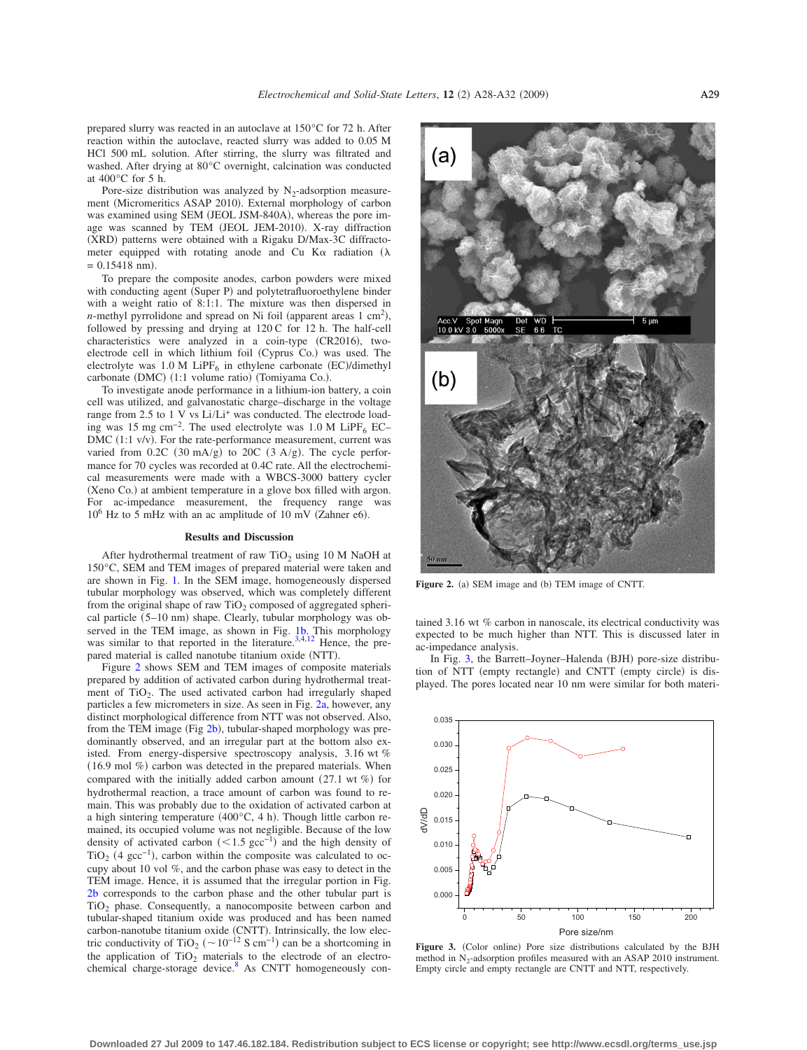prepared slurry was reacted in an autoclave at 150°C for 72 h. After reaction within the autoclave, reacted slurry was added to 0.05 M HCl 500 mL solution. After stirring, the slurry was filtrated and washed. After drying at 80°C overnight, calcination was conducted at 400°C for 5 h.

Pore-size distribution was analyzed by  $N_2$ -adsorption measurement (Micromeritics ASAP 2010). External morphology of carbon was examined using SEM (JEOL JSM-840A), whereas the pore image was scanned by TEM (JEOL JEM-2010). X-ray diffraction (XRD) patterns were obtained with a Rigaku D/Max-3C diffractometer equipped with rotating anode and Cu K $\alpha$  radiation ( $\lambda$  $= 0.15418$  nm).

To prepare the composite anodes, carbon powders were mixed with conducting agent (Super P) and polytetrafluoroethylene binder with a weight ratio of 8:1:1. The mixture was then dispersed in *n*-methyl pyrrolidone and spread on Ni foil (apparent areas  $1 \text{ cm}^2$ ), followed by pressing and drying at 120 C for 12 h. The half-cell characteristics were analyzed in a coin-type (CR2016), twoelectrode cell in which lithium foil (Cyprus Co.) was used. The electrolyte was  $1.0 M$  LiPF<sub>6</sub> in ethylene carbonate (EC)/dimethyl carbonate (DMC) (1:1 volume ratio) (Tomiyama Co.).

To investigate anode performance in a lithium-ion battery, a coin cell was utilized, and galvanostatic charge–discharge in the voltage range from 2.5 to 1 V vs Li/Li<sup>+</sup> was conducted. The electrode loading was 15 mg cm<sup>-2</sup>. The used electrolyte was 1.0 M LiPF<sub>6</sub> EC–  $DMC$  (1:1 v/v). For the rate-performance measurement, current was varied from  $0.2C$   $(30 \text{ mA/g})$  to  $20C$   $(3 \text{ A/g})$ . The cycle performance for 70 cycles was recorded at 0.4C rate. All the electrochemical measurements were made with a WBCS-3000 battery cycler (Xeno Co.) at ambient temperature in a glove box filled with argon. For ac-impedance measurement, the frequency range was  $10^6$  Hz to 5 mHz with an ac amplitude of 10 mV (Zahner e6).

#### **Results and Discussion**

After hydrothermal treatment of raw TiO<sub>2</sub> using 10 M NaOH at 150°C, SEM and TEM images of prepared material were taken and are shown in Fig. [1.](#page-0-2) In the SEM image, homogeneously dispersed tubular morphology was observed, which was completely different from the original shape of raw  $TiO<sub>2</sub>$  composed of aggregated spherical particle (5-10 nm) shape. Clearly, tubular morphology was ob-served in the TEM image, as shown in Fig. [1b.](#page-0-2) This morphology was similar to that reported in the literature.<sup>3[,4](#page-4-10)[,12](#page-4-11)</sup> Hence, the prepared material is called nanotube titanium oxide (NTT).

Figure [2](#page-1-0) shows SEM and TEM images of composite materials prepared by addition of activated carbon during hydrothermal treatment of TiO<sub>2</sub>. The used activated carbon had irregularly shaped particles a few micrometers in size. As seen in Fig. [2a,](#page-1-0) however, any distinct morphological difference from NTT was not observed. Also, from the TEM image (Fig [2b](#page-1-0)), tubular-shaped morphology was predominantly observed, and an irregular part at the bottom also existed. From energy-dispersive spectroscopy analysis, 3.16 wt %  $(16.9 \text{ mol } \%)$  carbon was detected in the prepared materials. When compared with the initially added carbon amount  $(27.1 \text{ wt } \%)$  for hydrothermal reaction, a trace amount of carbon was found to remain. This was probably due to the oxidation of activated carbon at a high sintering temperature  $(400^{\circ}C, 4 h)$ . Though little carbon remained, its occupied volume was not negligible. Because of the low density of activated carbon  $(< 1.5 \text{ gcc}^{-1})$  and the high density of TiO<sub>2</sub> (4 gcc<sup>-1</sup>), carbon within the composite was calculated to occupy about 10 vol %, and the carbon phase was easy to detect in the TEM image. Hence, it is assumed that the irregular portion in Fig. [2b](#page-1-0) corresponds to the carbon phase and the other tubular part is  $TiO<sub>2</sub>$  phase. Consequently, a nanocomposite between carbon and tubular-shaped titanium oxide was produced and has been named carbon-nanotube titanium oxide (CNTT). Intrinsically, the low electric conductivity of TiO<sub>2</sub> (~10<sup>-12</sup> S cm<sup>-1</sup>) can be a shortcoming in the application of  $TiO<sub>2</sub>$  materials to the electrode of an electrochemical charge-storage device. $8$  As CNTT homogeneously con-

<span id="page-1-0"></span>

**Figure 2.** (a) SEM image and (b) TEM image of CNTT.

tained 3.16 wt % carbon in nanoscale, its electrical conductivity was expected to be much higher than NTT. This is discussed later in ac-impedance analysis.

In Fig. [3,](#page-1-1) the Barrett-Joyner-Halenda (BJH) pore-size distribution of NTT (empty rectangle) and CNTT (empty circle) is displayed. The pores located near 10 nm were similar for both materi-

<span id="page-1-1"></span>

Figure 3. (Color online) Pore size distributions calculated by the BJH method in  $N_2$ -adsorption profiles measured with an ASAP 2010 instrument. Empty circle and empty rectangle are CNTT and NTT, respectively.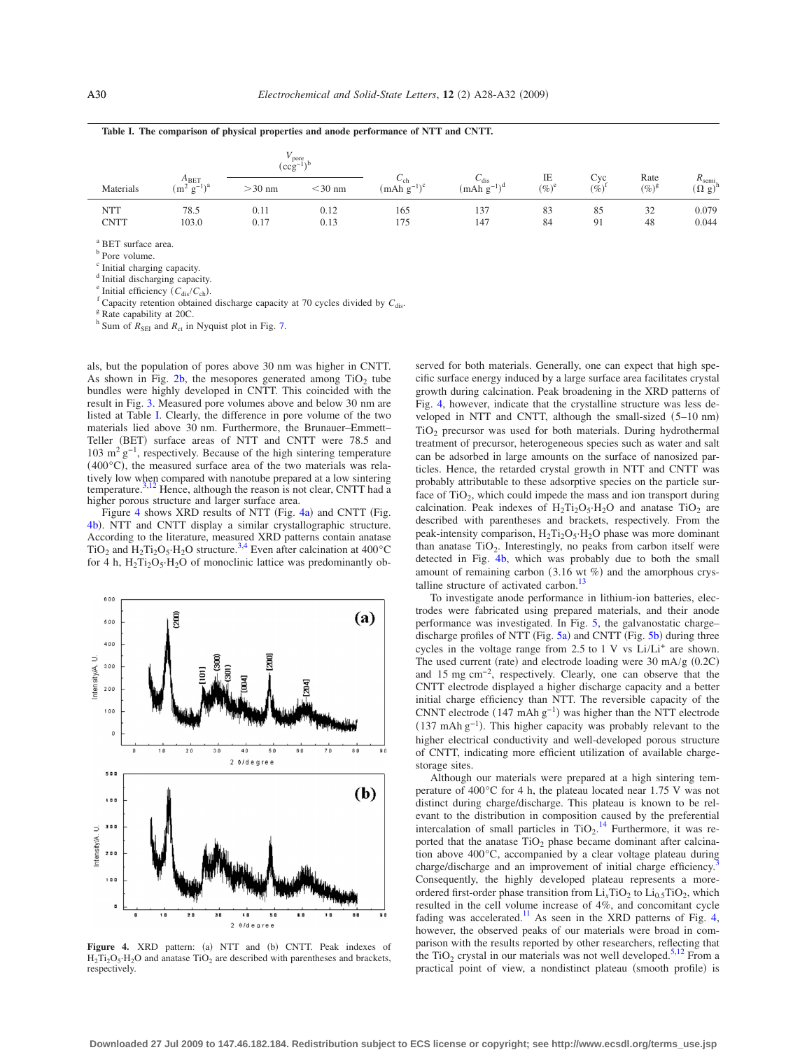<span id="page-2-0"></span>

|                           |                                      | $V_{\text{pore}}$<br>$(\text{ccg}^{-1})$ |              |                           |                                                |                |                 |                  |                                     |
|---------------------------|--------------------------------------|------------------------------------------|--------------|---------------------------|------------------------------------------------|----------------|-----------------|------------------|-------------------------------------|
| Materials                 | $A_{\text{BET}}$<br>$(m^2 g^{-1})^a$ | $>30$ nm                                 | $<$ 30 nm    | $\cup$ ch<br>$(mAh g-1)c$ | $\mathcal{L}_{\text{dis}}$<br>$(mAh g^{-1})^d$ | IE<br>$(\%)^e$ | Cyc<br>$(\%)^1$ | Rate<br>$(\%)^g$ | $R_{\text{semi}}$<br>$(\Omega g)^h$ |
| <b>NTT</b><br><b>CNTT</b> | 78.5<br>103.0                        | 0.11<br>0.17                             | 0.12<br>0.13 | 165<br>175                | 137<br>147                                     | 83<br>84       | 85<br>91        | 32<br>48         | 0.079<br>0.044                      |

**Table I. The comparison of physical properties and anode performance of NTT and CNTT.**

<sup>a</sup> BET surface area.

**b** Pore volume.

<sup>c</sup> Initial charging capacity.

<sup>d</sup> Initial discharging capacity.<br>
<sup>e</sup> Initial efficiency ( $C_{dis}/C_{ch}$ ).

<sup>f</sup> Capacity retention obtained discharge capacity at 70 cycles divided by  $C_{\text{dis}}$ . <sup>g</sup> Rate capability at 20C.

 $h$  Sum of  $R_{\text{SEI}}$  and  $R_{\text{ct}}$  in Nyquist plot in Fig. [7.](#page-3-1)

als, but the population of pores above 30 nm was higher in CNTT. As shown in Fig.  $2b$ , the mesopores generated among  $TiO<sub>2</sub>$  tube bundles were highly developed in CNTT. This coincided with the result in Fig. [3.](#page-1-1) Measured pore volumes above and below 30 nm are listed at Table [I.](#page-2-0) Clearly, the difference in pore volume of the two materials lied above 30 nm. Furthermore, the Brunauer–Emmett– Teller (BET) surface areas of NTT and CNTT were 78.5 and 103 m<sup>2</sup> g−1, respectively. Because of the high sintering temperature 400°C, the measured surface area of the two materials was rela-tively low when compared with nanotube prepared at a low sintering<br>temperature.<sup>3[,12](#page-4-11)</sup> Hence, although the reason is not clear, CNTT had a higher porous structure and larger surface area.

Figure [4](#page-2-1) shows XRD results of NTT (Fig.  $4a$ ) and CNTT (Fig. [4b](#page-2-1)). NTT and CNTT display a similar crystallographic structure. According to the literature, measured XRD patterns contain anatase TiO<sub>2</sub> and H<sub>2</sub>T<sub>12</sub>O<sub>5</sub>·H<sub>2</sub>O structure.<sup>3[,4](#page-4-10)</sup> Even after calcination at 400<sup>°</sup>C for 4 h,  $H_2Ti_2O_5·H_2O$  of monoclinic lattice was predominantly ob-

<span id="page-2-1"></span>

Figure 4. XRD pattern: (a) NTT and (b) CNTT. Peak indexes of  $H_2Ti_2O_5·H_2O$  and anatase  $TiO_2$  are described with parentheses and brackets, respectively.

served for both materials. Generally, one can expect that high specific surface energy induced by a large surface area facilitates crystal growth during calcination. Peak broadening in the XRD patterns of Fig. [4,](#page-2-1) however, indicate that the crystalline structure was less developed in NTT and CNTT, although the small-sized  $(5-10 \text{ nm})$ TiO2 precursor was used for both materials. During hydrothermal treatment of precursor, heterogeneous species such as water and salt can be adsorbed in large amounts on the surface of nanosized particles. Hence, the retarded crystal growth in NTT and CNTT was probably attributable to these adsorptive species on the particle surface of  $TiO<sub>2</sub>$ , which could impede the mass and ion transport during calcination. Peak indexes of  $H_2Ti_2O_5·H_2O$  and anatase  $TiO_2$  are described with parentheses and brackets, respectively. From the peak-intensity comparison,  $H_2Ti_2O_5·H_2O$  phase was more dominant than anatase  $TiO<sub>2</sub>$ . Interestingly, no peaks from carbon itself were detected in Fig. [4b,](#page-2-1) which was probably due to both the small amount of remaining carbon  $(3.16 \text{ wt } \%)$  and the amorphous crystalline structure of activated carbon. $^{13}$ 

To investigate anode performance in lithium-ion batteries, electrodes were fabricated using prepared materials, and their anode performance was investigated. In Fig. [5,](#page-3-0) the galvanostatic charge– discharge profiles of NTT (Fig.  $5a$ ) and CNTT (Fig.  $5b$ ) during three cycles in the voltage range from  $2.5$  to 1 V vs Li/Li<sup>+</sup> are shown. The used current (rate) and electrode loading were  $30 \text{ mA/g}$  (0.2C) and 15 mg cm−2, respectively. Clearly, one can observe that the CNTT electrode displayed a higher discharge capacity and a better initial charge efficiency than NTT. The reversible capacity of the CNNT electrode  $(147 \text{ mA} \text{h} \text{ g}^{-1})$  was higher than the NTT electrode 137 mAh g−1. This higher capacity was probably relevant to the higher electrical conductivity and well-developed porous structure of CNTT, indicating more efficient utilization of available chargestorage sites.

Although our materials were prepared at a high sintering temperature of 400°C for 4 h, the plateau located near 1.75 V was not distinct during charge/discharge. This plateau is known to be relevant to the distribution in composition caused by the preferential intercalation of small particles in  $TiO_2$ .<sup>[14](#page-4-13)</sup> Furthermore, it was reported that the anatase  $TiO<sub>2</sub>$  phase became dominant after calcination above 400°C, accompanied by a clear voltage plateau during charge/discharge and an improvement of initial charge efficiency. Consequently, the highly developed plateau represents a moreordered first-order phase transition from  $Li<sub>x</sub>TiO<sub>2</sub>$  to  $Li<sub>0.5</sub>TiO<sub>2</sub>$ , which resulted in the cell volume increase of 4%, and concomitant cycle fading was accelerated.<sup>11</sup> As seen in the XRD patterns of Fig. [4,](#page-2-1) however, the observed peaks of our materials were broad in comparison with the results reported by other researchers, reflecting that the TiO<sub>2</sub> crystal in our materials was not well developed.<sup>5[,12](#page-4-11)</sup> From a practical point of view, a nondistinct plateau (smooth profile) is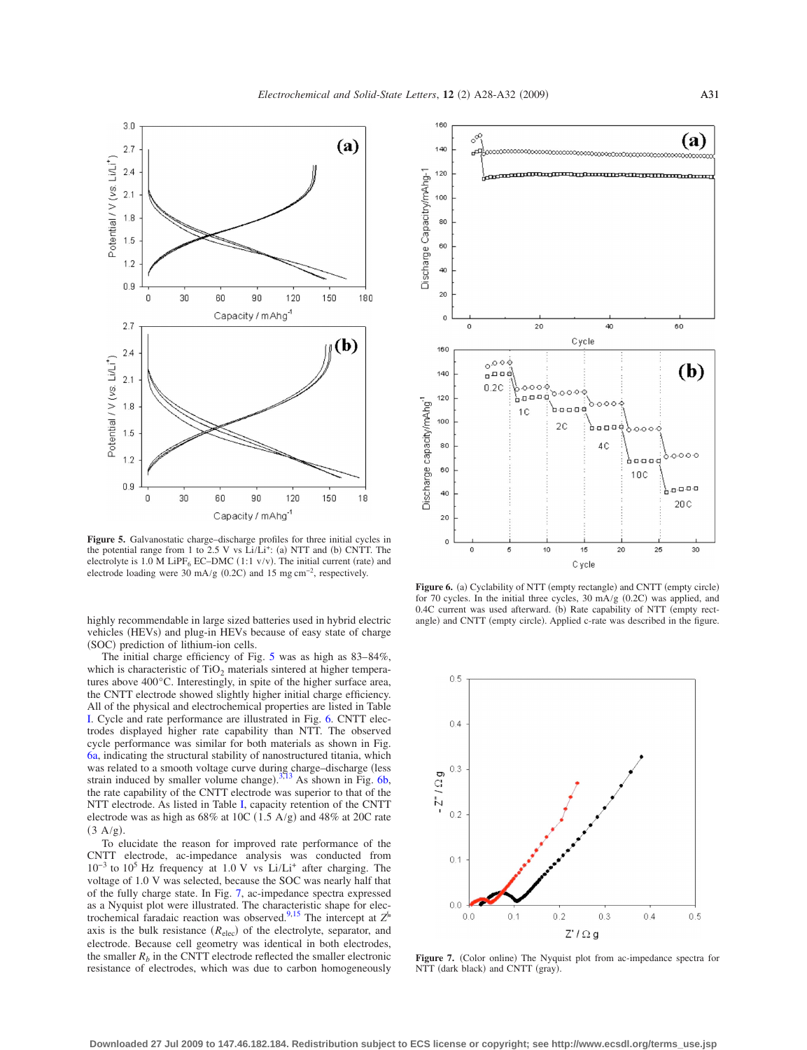<span id="page-3-0"></span>

**Figure 5.** Galvanostatic charge–discharge profiles for three initial cycles in the potential range from 1 to 2.5 V vs Li/Li<sup>+</sup>: (a) NTT and (b) CNTT. The electrolyte is 1.0 M LiPF<sub>6</sub> EC–DMC (1:1  $v/v$ ). The initial current (rate) and electrode loading were 30 mA/g  $(0.2C)$  and 15 mg cm<sup>-2</sup>, respectively.

highly recommendable in large sized batteries used in hybrid electric vehicles (HEVs) and plug-in HEVs because of easy state of charge (SOC) prediction of lithium-ion cells.

The initial charge efficiency of Fig. [5](#page-3-0) was as high as 83–84%, which is characteristic of  $TiO<sub>2</sub>$  materials sintered at higher temperatures above 400°C. Interestingly, in spite of the higher surface area, the CNTT electrode showed slightly higher initial charge efficiency. All of the physical and electrochemical properties are listed in Table [I.](#page-2-0) Cycle and rate performance are illustrated in Fig. [6.](#page-3-2) CNTT electrodes displayed higher rate capability than NTT. The observed cycle performance was similar for both materials as shown in Fig. [6a,](#page-3-2) indicating the structural stability of nanostructured titania, which was related to a smooth voltage curve during charge-discharge (less strain induced by smaller volume change).  $3\frac{13}{13}$  $3\frac{13}{13}$  As shown in Fig. [6b,](#page-3-2) the rate capability of the CNTT electrode was superior to that of the NTT electrode. As listed in Table [I,](#page-2-0) capacity retention of the CNTT electrode was as high as  $68\%$  at 10C (1.5 A/g) and 48% at 20C rate  $(3 \text{ A/g}).$ 

To elucidate the reason for improved rate performance of the CNTT electrode, ac-impedance analysis was conducted from 10−3 to 105 Hz frequency at 1.0 V vs Li/Li+ after charging. The voltage of 1.0 V was selected, because the SOC was nearly half that of the fully charge state. In Fig. [7,](#page-3-1) ac-impedance spectra expressed as a Nyquist plot were illustrated. The characteristic shape for electrochemical faradaic reaction was observed[.9](#page-4-6)[,15](#page-4-14) The intercept at *Z*‱ axis is the bulk resistance  $(R_{elec})$  of the electrolyte, separator, and electrode. Because cell geometry was identical in both electrodes, the smaller  $R_b$  in the CNTT electrode reflected the smaller electronic resistance of electrodes, which was due to carbon homogeneously

<span id="page-3-2"></span>

Figure 6. (a) Cyclability of NTT (empty rectangle) and CNTT (empty circle) for 70 cycles. In the initial three cycles,  $30 \text{ mA/g}$  (0.2C) was applied, and 0.4C current was used afterward. (b) Rate capability of NTT (empty rectangle) and CNTT (empty circle). Applied c-rate was described in the figure.

<span id="page-3-1"></span>

Figure 7. (Color online) The Nyquist plot from ac-impedance spectra for NTT (dark black) and CNTT (gray).